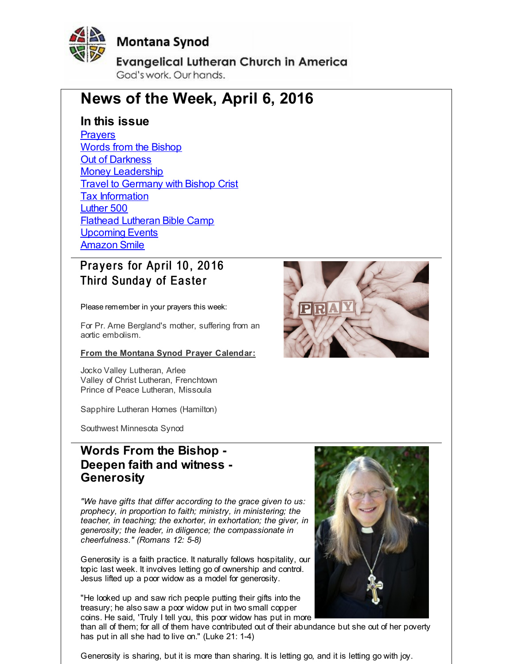<span id="page-0-0"></span>

# **Montana Synod**

**Evangelical Lutheran Church in America** God's work, Our hands.

# **News of the Week, April 6, 2016**

## **In this issue**

**[Prayers](#page-0-0)** Words from the [Bishop](#page-0-0) Out of [Darkness](#page-0-0) Money [Leadership](#page-0-0) **Travel to [Germany](#page-0-0) with Bishop Crist** Tax [Information](#page-0-0) [Luther](#page-0-0) 500 Flathead [Lutheran](#page-0-0) Bible Camp [Upcoming](#page-0-0) Events [Amazon](#page-0-0) Smile

# Prayers for April 10, 2016 Third Sunday of Easter

Please remember in your prayers this week:

For Pr. Arne Bergland's mother, suffering from an aortic embolism.

**From the Montana Synod Prayer Calendar:**

Jocko Valley Lutheran, Arlee Valley of Christ Lutheran, Frenchtown Prince of Peace Lutheran, Missoula

Sapphire Lutheran Homes (Hamilton)

Southwest Minnesota Synod

# **Words From the Bishop - Deepen faith and witness - Generosity**

*"We have gifts that differ according to the grace given to us: prophecy, in proportion to faith; ministry, in ministering; the teacher, in teaching; the exhorter, in exhortation; the giver, in generosity; the leader, in diligence; the compassionate in cheerfulness." (Romans 12: 5-8)*

Generosity is a faith practice. It naturally follows hospitality, our topic last week. It involves letting go of ownership and control. Jesus lifted up a poor widow as a model for generosity.

"He looked up and saw rich people putting their gifts into the treasury; he also saw a poor widow put in two small copper coins. He said, 'Truly I tell you, this poor widow has put in more

than all of them; for all of them have contributed out of their abundance but she out of her poverty has put in all she had to live on." (Luke 21: 1-4)

Generosity is sharing, but it is more than sharing. It is letting go, and it is letting go with joy.



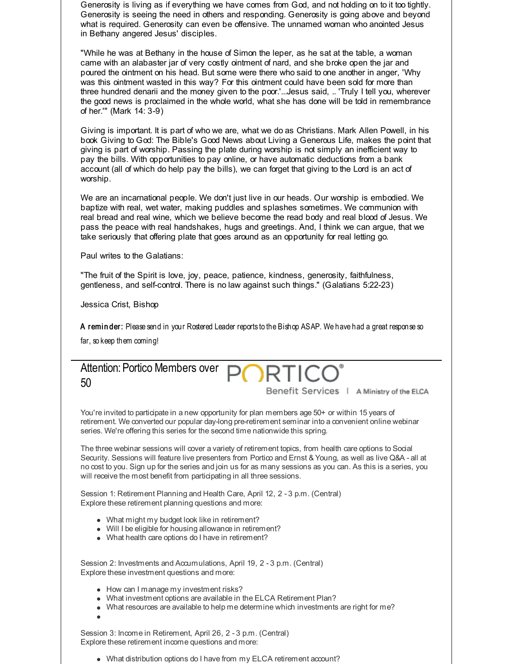Generosity is living as if everything we have comes from God, and not holding on to it too tightly. Generosity is seeing the need in others and responding. Generosity is going above and beyond what is required. Generosity can even be offensive. The unnamed woman who anointed Jesus in Bethany angered Jesus' disciples.

"While he was at Bethany in the house of Simon the leper, as he sat at the table, a woman came with an alabaster jar of very costly ointment of nard, and she broke open the jar and poured the ointment on his head. But some were there who said to one another in anger, 'Why was this ointment wasted in this way? For this ointment could have been sold for more than three hundred denarii and the money given to the poor.'...Jesus said, .. 'Truly I tell you, wherever the good news is proclaimed in the whole world, what she has done will be told in remembrance of her.'" (Mark 14: 3-9)

Giving is important. It is part of who we are, what we do as Christians. Mark Allen Powell, in his book Giving to God: The Bible's Good News about Living a Generous Life, makes the point that giving is part of worship. Passing the plate during worship is not simply an inefficient way to pay the bills. With opportunities to pay online, or have automatic deductions from a bank account (all of which do help pay the bills), we can forget that giving to the Lord is an act of worship.

We are an incarnational people. We don't just live in our heads. Our worship is embodied. We baptize with real, wet water, making puddles and splashes sometimes. We communion with real bread and real wine, which we believe become the read body and real blood of Jesus. We pass the peace with real handshakes, hugs and greetings. And, I think we can argue, that we take seriously that offering plate that goes around as an opportunity for real letting go.

Paul writes to the Galatians:

"The fruit of the Spirit is love, joy, peace, patience, kindness, generosity, faithfulness, gentleness, and self-control. There is no law against such things." (Galatians 5:22-23)

Jessica Crist, Bishop

A reminder: Please send in your Rostered Leader reports to the Bishop ASAP. We have had a great response so

far, so keep them coming!



You're invited to participate in a new opportunity for plan members age 50+ or within 15 years of retirement. We converted our popular day-long pre-retirement seminar into a convenient online webinar series. We're offering this series for the second time nationwide this spring.

The three webinar sessions will cover a variety of retirement topics, from health care options to Social Security. Sessions will feature live presenters from Portico and Ernst & Young, as well as live Q&A - all at no cost to you. Sign up for the series and join us for as many sessions as you can. As this is a series, you will receive the most benefit from participating in all three sessions.

Session 1: Retirement Planning and Health Care, April 12, 2 - 3 p.m. (Central) Explore these retirement planning questions and more:

- What might my budget look like in retirement?
- Will I be eligible for housing allowance in retirement?
- What health care options do I have in retirement?

Session 2: Investments and Accumulations, April 19, 2 - 3 p.m. (Central) Explore these investment questions and more:

- How can I manage my investment risks?
- What investment options are available in the ELCA Retirement Plan?
- What resources are available to help me determine which investments are right for me?
- 

Session 3: Income in Retirement, April 26, 2 - 3 p.m. (Central) Explore these retirement income questions and more:

What distribution options do I have from my ELCA retirement account?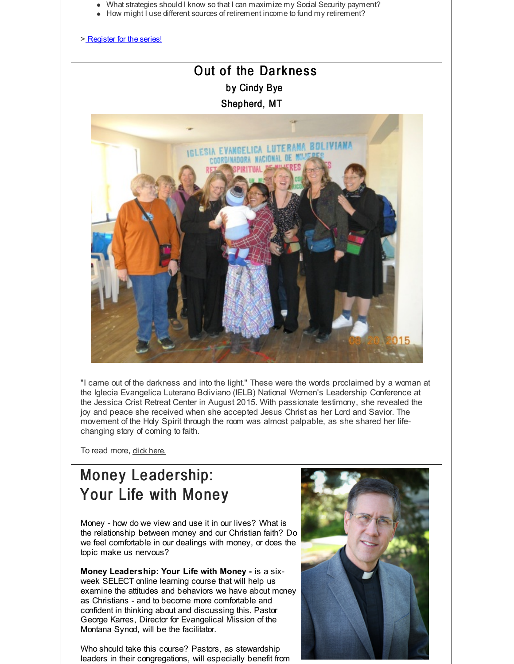- What strategies should I know so that I can maximize my Social Security payment?
- How might I use different sources of retirement income to fund my retirement?

> [Register](http://r20.rs6.net/tn.jsp?f=001QvvrhkTToFAxPA72KFLpBpXS2LszA725eTaoxaPe892BQ6V1TixS--a-HNO1YKgQDW32mzKDdiNAKcj7Mk-sH6PtbdC_PGQ9724eLOHXzOied4uEvsC6eOTtLsNHU4FuY_h1zdcwCLJAHL0QWFUXcbvsLSbefZ_dEpYYoSpzgvbZUfv9O5vO3d02GhDtTxI29sG4Mswp0knxT5Nd9-pPye7aU2zj4m45&c=&ch=) for the series!

# Out of the Darkness by Cindy Bye Shepherd, MT



"I came out of the darkness and into the light." These were the words proclaimed by a woman at the Iglecia Evangelica Luterano Boliviano (IELB) National Women's Leadership Conference at the Jessica Crist Retreat Center in August 2015. With passionate testimony, she revealed the joy and peace she received when she accepted Jesus Christ as her Lord and Savior. The movement of the Holy Spirit through the room was almost palpable, as she shared her lifechanging story of coming to faith.

To read more, dick [here.](http://r20.rs6.net/tn.jsp?f=001QvvrhkTToFAxPA72KFLpBpXS2LszA725eTaoxaPe892BQ6V1TixS-1ishF7D38cyIWCYT2LMbtpofA5iJJ5sAxOzwJYVPaPcp5PpC1AlBHulKe8WKuHKK0wWWIheCuLf0N_aQTVMYQI4LWPbInFqW46srVIcZncEJdJDC8Sm2ro-1JZUrqJZR8E_pQQ3z5dkwBUTom2qlAM=&c=&ch=)

# Money Leadership: Your Life with Money

Money - how do we view and use it in our lives? What is the relationship between money and our Christian faith? Do we feel comfortable in our dealings with money, or does the topic make us nervous?

**Money Leadership: Your Life with Money -** is a sixweek SELECT online learning course that will help us examine the attitudes and behaviors we have about money as Christians - and to become more comfortable and confident in thinking about and discussing this. Pastor George Karres, Director for Evangelical Mission of the Montana Synod, will be the facilitator.

Who should take this course? Pastors, as stewardship leaders in their congregations, will especially benefit from

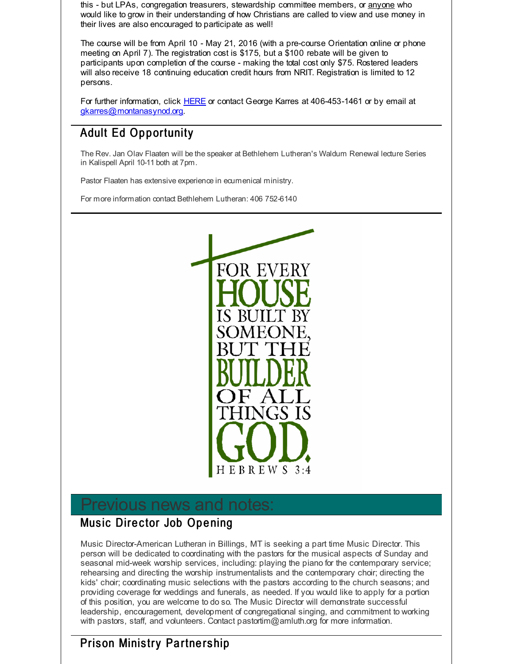this - but LPAs, congregation treasurers, stewardship committee members, or anyone who would like to grow in their understanding of how Christians are called to view and use money in their lives are also encouraged to participate as well!

The course will be from April 10 - May 21, 2016 (with a pre-course Orientation online or phone meeting on April 7). The registration cost is \$175, but a \$100 rebate will be given to participants upon completion of the course - making the total cost only \$75. Rostered leaders will also receive 18 continuing education credit hours from NRIT. Registration is limited to 12 persons.

For further information, click [HERE](http://r20.rs6.net/tn.jsp?f=001QvvrhkTToFAxPA72KFLpBpXS2LszA725eTaoxaPe892BQ6V1TixS-6qtgaZqcFby4WGFNMYvu32CINhhfHpMg1Jq3G7r8joSMWFWmA-D4ng0hg1ZY3chf8qkQYCVzsrNzU2E_N0uf_oUI4E6-nnFBVllUeRjp2zzj2rf8OUBfY0gny0KvcdGL5cUyf2Zcxk4Yqc0sz47xu9YwrDtRUdSiyJicyib42FNbYLtzxE1FxCJHBQ4BaaJyISyFfpHOtWDtAJTLaNhXqQ=&c=&ch=) or contact George Karres at 406-453-1461 or by email at [gkarres@montanasynod.org](mailto:gkarres@montanasynod.org).

# Adult Ed Opportunity

The Rev. Jan Olav Flaaten will be the speaker at Bethlehem Lutheran's Waldum Renewal lecture Series in Kalispell April 10-11 both at 7pm.

Pastor Flaaten has extensive experience in ecumenical ministry.

For more information contact Bethlehem Lutheran: 406 752-6140



# Previous news and notes:

# Music Director Job Opening

Music Director-American Lutheran in Billings, MT is seeking a part time Music Director. This person will be dedicated to coordinating with the pastors for the musical aspects of Sunday and seasonal mid-week worship services, including: playing the piano for the contemporary service; rehearsing and directing the worship instrumentalists and the contemporary choir; directing the kids' choir; coordinating music selections with the pastors according to the church seasons; and providing coverage for weddings and funerals, as needed. If you would like to apply for a portion of this position, you are welcome to do so. The Music Director will demonstrate successful leadership, encouragement, development of congregational singing, and commitment to working with pastors, staff, and volunteers. Contact pastortim@amluth.org for more information.

# Prison Ministry Partnership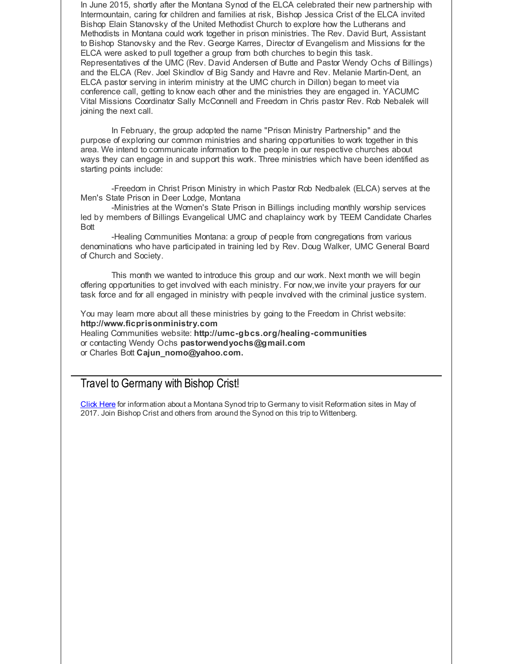In June 2015, shortly after the Montana Synod of the ELCA celebrated their new partnership with Intermountain, caring for children and families at risk, Bishop Jessica Crist of the ELCA invited Bishop Elain Stanovsky of the United Methodist Church to explore how the Lutherans and Methodists in Montana could work together in prison ministries. The Rev. David Burt, Assistant to Bishop Stanovsky and the Rev. George Karres, Director of Evangelism and Missions for the ELCA were asked to pull together a group from both churches to begin this task. Representatives of the UMC (Rev. David Andersen of Butte and Pastor Wendy Ochs of Billings) and the ELCA (Rev. Joel Skindlov of Big Sandy and Havre and Rev. Melanie Martin-Dent, an ELCA pastor serving in interim ministry at the UMC church in Dillon) began to meet via conference call, getting to know each other and the ministries they are engaged in. YACUMC Vital Missions Coordinator Sally McConnell and Freedom in Chris pastor Rev. Rob Nebalek will joining the next call.

In February, the group adopted the name "Prison Ministry Partnership" and the purpose of exploring our common ministries and sharing opportunities to work together in this area. We intend to communicate information to the people in our respective churches about ways they can engage in and support this work. Three ministries which have been identified as starting points include:

-Freedom in Christ Prison Ministry in which Pastor Rob Nedbalek (ELCA) serves at the Men's State Prison in Deer Lodge, Montana

-Ministries at the Women's State Prison in Billings including monthly worship services led by members of Billings Evangelical UMC and chaplaincy work by TEEM Candidate Charles Bott

-Healing Communities Montana: a group of people from congregations from various denominations who have participated in training led by Rev. Doug Walker, UMC General Board of Church and Society.

This month we wanted to introduce this group and our work. Next month we will begin offering opportunities to get involved with each ministry. For now,we invite your prayers for our task force and for all engaged in ministry with people involved with the criminal justice system.

You may learn more about all these ministries by going to the Freedom in Christ website: **http://www.ficprisonministry.com**

Healing Communities website: **http://umc-gbcs.org/healing-communities** or contacting Wendy Ochs **pastorwendyochs@gmail.com** or Charles Bott **Cajun\_nomo@yahoo.com.**

#### Travel to Germany with Bishop Crist!

[Click](http://r20.rs6.net/tn.jsp?f=001QvvrhkTToFAxPA72KFLpBpXS2LszA725eTaoxaPe892BQ6V1TixS--mBj3YxfadekE4D7UgDwTFc_0LTQYYxnE5Sn2FGoxvTsb_pFIm8H3qQ3I9B3JydRnu6dag-6kEvNlmrEayY5vTw1awzUNNFfKbqm--7SCwCM7WDrnsDPGjnKvyG9_vAxL_YhVLwdDVct2tYc5TJ0QoalRYpNpRVSzcY49eYljhQsOfhk-tUZY4cnkqxfWbIOPreNgztitYEUX7cSARhkOKPCuc6tTVCCanKyj3XN4RQ&c=&ch=) Here for information about a Montana Synod trip to Germany to visit Reformation sites in May of 2017. Join Bishop Crist and others from around the Synod on this trip to Wittenberg.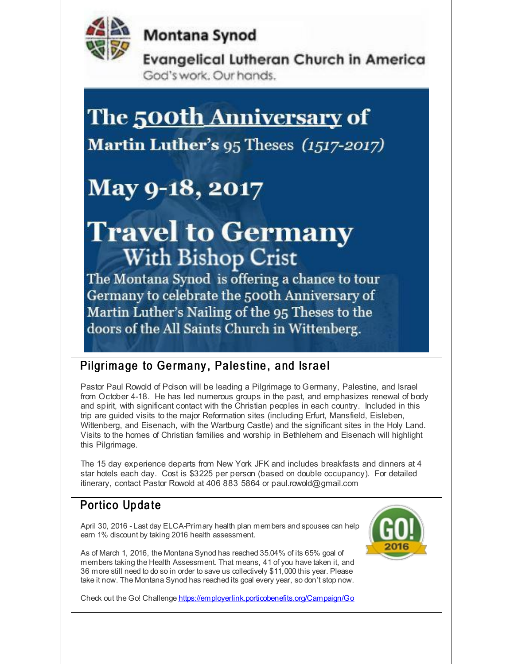

**Montana Synod** 

**Evangelical Lutheran Church in America** God's work. Our hands.

# The 500th Anniversary of

Martin Luther's 95 Theses (1517-2017)

# May 9-18, 2017

# **Travel to Germany With Bishop Crist**

The Montana Synod is offering a chance to tour Germany to celebrate the 500th Anniversary of Martin Luther's Nailing of the 95 Theses to the doors of the All Saints Church in Wittenberg.

# Pilgrimage to Germany, Palestine, and Israel

Pastor Paul Rowold of Polson will be leading a Pilgrimage to Germany, Palestine, and Israel from October 4-18. He has led numerous groups in the past, and emphasizes renewal of body and spirit, with significant contact with the Christian peoples in each country. Included in this trip are guided visits to the major Reformation sites (including Erfurt, Mansfield, Eisleben, Wittenberg, and Eisenach, with the Wartburg Castle) and the significant sites in the Holy Land. Visits to the homes of Christian families and worship in Bethlehem and Eisenach will highlight this Pilgrimage.

The 15 day experience departs from New York JFK and includes breakfasts and dinners at 4 star hotels each day. Cost is \$3225 per person (based on double occupancy). For detailed itinerary, contact Pastor Rowold at 406 883 5864 or paul.rowold@gmail.com

# Portico Update

April 30, 2016 - Last day ELCA-Primary health plan members and spouses can help earn 1% discount by taking 2016 health assessment.

As of March 1, 2016, the Montana Synod has reached 35.04% of its 65% goal of members taking the Health Assessment. That means, 41 of you have taken it, and 36 more still need to do so in order to save us collectively \$11,000 this year. Please take it now. The Montana Synod has reached its goal every year, so don't stop now.



Check out the Go! Challenge [https://employerlink.porticobenefits.org/Campaign/Go](http://r20.rs6.net/tn.jsp?f=001QvvrhkTToFAxPA72KFLpBpXS2LszA725eTaoxaPe892BQ6V1TixS-_jPdrhQOzyMBlvq45YtGZIgeoSbNMoXi86i8FQPCdBejbBL9NaDgF8GHsfR8s3dy6jLdImOnmDha-Xt_lgB7bB0RbM8dtLF-P-UdvkSbmwnHZ288wElmd_CNMlEGATdIaT4pZO-1AZbE4jXkpa7zCoelSOYWq1JTA==&c=&ch=)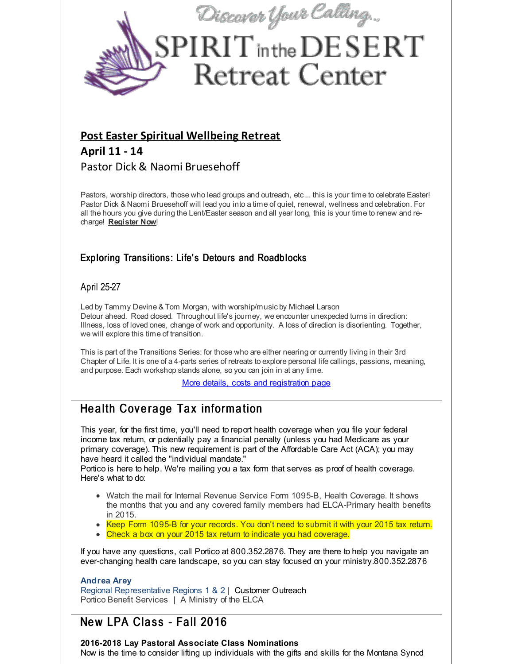

#### **Post Easter Spiritual [Wellbeing](http://r20.rs6.net/tn.jsp?f=001QvvrhkTToFAxPA72KFLpBpXS2LszA725eTaoxaPe892BQ6V1TixS-3ni2shtrfmrtBhLhy2BNJ-WzloF8g_Bhi3SJBxjqyV0-yP0osqpSU88mSjoZnK0ZLYwn0lSuuEKkyJcUfLA3foifWPylI4DtSV3_6qUg8WUG7RCBCASpEMZOkMK9QZKUEa-VHIaR0CmtFgEZyaRHX1WTT2Fvx4DrRKwZlA2hxGcsbXdffGutvk05urSH-AvkrFqOciWQhxvpKqHDP_K7aG9-ip9BxWpfQ==&c=&ch=) Retreat**

# **April 11 - 14** Pastor Dick & Naomi Bruesehoff

Pastors, worship directors, those who lead groups and outreach, etc... this is your time to celebrate Easter! Pastor Dick & Naomi Bruesehoff will lead you into a time of quiet, renewal, wellness and celebration. For all the hours you give during the Lent/Easter season and all year long, this is your time to renew and recharge! **[Register](http://r20.rs6.net/tn.jsp?f=001QvvrhkTToFAxPA72KFLpBpXS2LszA725eTaoxaPe892BQ6V1TixS-3ni2shtrfmrtBhLhy2BNJ-WzloF8g_Bhi3SJBxjqyV0-yP0osqpSU88mSjoZnK0ZLYwn0lSuuEKkyJcUfLA3foifWPylI4DtSV3_6qUg8WUG7RCBCASpEMZOkMK9QZKUEa-VHIaR0CmtFgEZyaRHX1WTT2Fvx4DrRKwZlA2hxGcsbXdffGutvk05urSH-AvkrFqOciWQhxvpKqHDP_K7aG9-ip9BxWpfQ==&c=&ch=) Now**!

#### Exploring Transitions: Life's Detours and Roadblocks

#### April 25-27

Led by Tammy Devine & Tom Morgan, with worship/music by Michael Larson Detour ahead. Road dosed. Throughout life's journey, we encounter unexpected turns in direction: Illness, loss of loved ones, change of work and opportunity. A loss of direction is disorienting. Together, we will explore this time of transition.

This is part of the Transitions Series: for those who are either nearing or currently living in their 3rd Chapter of Life. It is one of a 4-parts series of retreats to explore personal life callings, passions, meaning, and purpose. Each workshop stands alone, so you can join in at any time.

More details, costs and [registration](http://r20.rs6.net/tn.jsp?f=001QvvrhkTToFAxPA72KFLpBpXS2LszA725eTaoxaPe892BQ6V1TixS-6qtgaZqcFbyiC3TUUFGUsg_epZYeba9koIixwiqiYMhYbAbsIyjURR71g2fEv5QCKQNuW_ifecpCkottBCMQM8usjr3GO9DjxML5rnMqq3kGbswb5eMXuurCe_MNOlTTeq8Z5qXNY9CDv62cXFbgCTmIrImSAJXcNGEBOa7obZZS0bEEf-wkIUkZbxRcqLYpO2L-c0ysO9y&c=&ch=) page

# Health Coverage Tax information

This year, for the first time, you'll need to report health coverage when you file your federal income tax return, or potentially pay a financial penalty (unless you had Medicare as your primary coverage). This new requirement is part of the Affordable Care Act (ACA); you may have heard it called the "individual mandate."

Portico is here to help. We're mailing you a tax form that serves as proof of health coverage. Here's what to do:

- Watch the mail for Internal Revenue Service Form 1095-B, Health Coverage. It shows the months that you and any covered family members had ELCA-Primary health benefits in 2015.
- Keep Form 1095-B for your records. You don't need to submit it with your 2015 tax return.
- Check a box on your 2015 tax return to indicate you had coverage.

If you have any questions, call Portico at 800.352.2876. They are there to help you navigate an ever-changing health care landscape, so you can stay focused on your ministry.800.352.2876

#### **Andrea Arey**

Regional Representative Regions 1 & 2 | Customer Outreach Portico Benefit Services | A Ministry of the ELCA

# New LPA Class - Fall 2016

#### **2016-2018 Lay Pastoral Associate Class Nominations**

Now is the time to consider lifting up individuals with the gifts and skills for the Montana Synod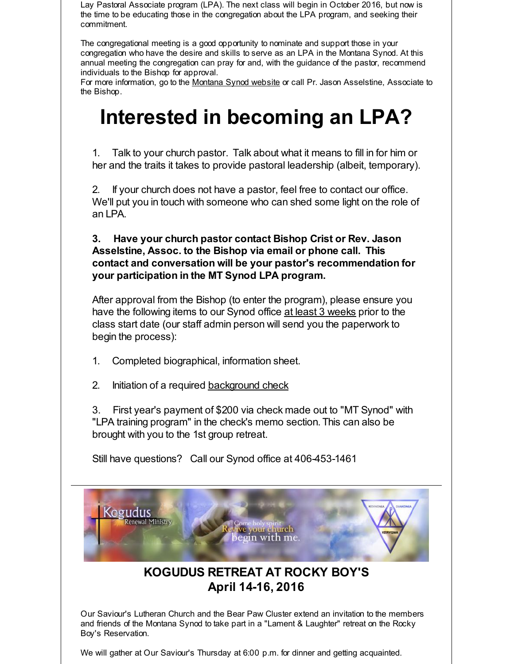Lay Pastoral Associate program (LPA). The next class will begin in October 2016, but now is the time to be educating those in the congregation about the LPA program, and seeking their commitment.

The congregational meeting is a good opportunity to nominate and support those in your congregation who have the desire and skills to serve as an LPA in the Montana Synod. At this annual meeting the congregation can pray for and, with the guidance of the pastor, recommend individuals to the Bishop for approval.

For more information, go to the [Montana](http://r20.rs6.net/tn.jsp?f=001QvvrhkTToFAxPA72KFLpBpXS2LszA725eTaoxaPe892BQ6V1TixS-2YLcZmoox9NEj2BdgfjP81pX0VCJlNTUjpaKXdbj32RjXdw4yDbv0DCpm04iaGpm8wjUPRuMERZQ_5VEQHRpqyAOjMrXEoAdZKQbQX2yU4qMTTljPcFnLfsTGzclvJPKA==&c=&ch=) Synod website or call Pr. Jason Asselstine, Associate to the Bishop.

# **Interested in becoming an LPA?**

1. Talk to your church pastor. Talk about what it means to fill in for him or her and the traits it takes to provide pastoral leadership (albeit, temporary).

2. If your church does not have a pastor, feel free to contact our office. We'll put you in touch with someone who can shed some light on the role of an LPA.

**3. Have your church pastor contact Bishop Crist or Rev. Jason Asselstine, Assoc. to the Bishop via email or phone call. This contact and conversation will be your pastor's recommendation for your participation in the MT Synod LPA program.**

After approval from the Bishop (to enter the program), please ensure you have the following items to our Synod office at least 3 weeks prior to the class start date (our staff admin person will send you the paperwork to begin the process):

- 1. Completed biographical, information sheet.
- 2. Initiation of a required [background](http://r20.rs6.net/tn.jsp?f=001QvvrhkTToFAxPA72KFLpBpXS2LszA725eTaoxaPe892BQ6V1TixS-whwdHQBalHsI5_L82le_H9PxT09wwbeNaH1Q32aHt4xdYF7aPvtNKxbBiCkM3LNzSppRjiuc7b35ItrO7UFfKQNAhCppXR6Q0cyXAKychJa1udy-JXypKjpQ2QJ7SgazPU2WW9j6m0rS1pNs0sC2CuEdQACmjO9xQ==&c=&ch=) check

3. First year's payment of \$200 via check made out to "MT Synod" with "LPA training program" in the check's memo section. This can also be brought with you to the 1st group retreat.

Still have questions? Call our Synod office at 406-453-1461



# **KOGUDUS RETREAT AT ROCKY BOY'S April 14-16, 2016**

Our Saviour's Lutheran Church and the Bear Paw Cluster extend an invitation to the members and friends of the Montana Synod to take part in a "Lament & Laughter" retreat on the Rocky Boy's Reservation.

We will gather at Our Saviour's Thursday at 6:00 p.m. for dinner and getting acquainted.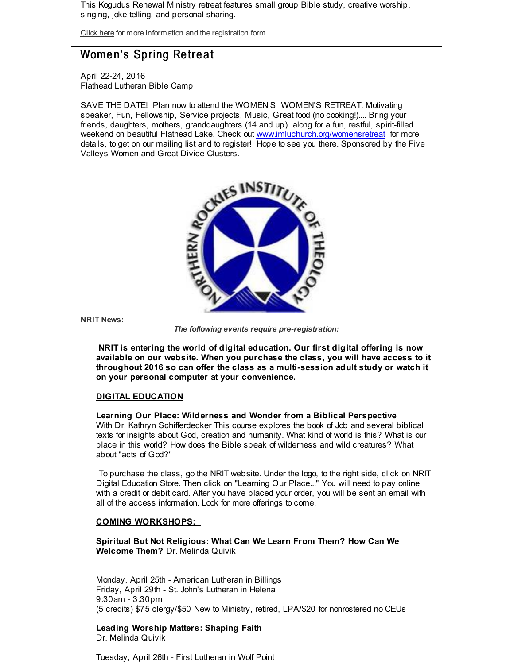This Kogudus Renewal Ministry retreat features small group Bible study, creative worship, singing, joke telling, and personal sharing.

[Click](http://r20.rs6.net/tn.jsp?f=001QvvrhkTToFAxPA72KFLpBpXS2LszA725eTaoxaPe892BQ6V1TixS-_g3bQRoMwVyzuyhddMtFqJt3h9hmn8ZhXd56Lq8E082jU-uQBb0BqY7Tnd07Rnwr-4Lgfj7LRfwkj0GNREhbXFZmBqn_-xomPSaAY-1R1gs0Gui-ELaPszqOJdvL_nlZAWQ3LsPR1YH3cXQWxa3HN3lGvZIZOp6ZH3EblueK_ygcHEldMsrghx4ThOJW-xIuMevg4of2gDUhpo7-eeGXJR9pg37hvV3Za_jfnA77SvB&c=&ch=) here for more information and the registration form

## Women's Spring Retreat

April 22-24, 2016 Flathead Lutheran Bible Camp

SAVE THE DATE! Plan now to attend the WOMEN'S WOMEN'S RETREAT. Motivating speaker, Fun, Fellowship, Service projects, Music, Great food (no cooking!).... Bring your friends, daughters, mothers, granddaughters (14 and up) along for a fun, restful, spirit-filled weekend on beautiful Flathead Lake. Check out [www.imluchurch.org/womensretreat](http://r20.rs6.net/tn.jsp?f=001QvvrhkTToFAxPA72KFLpBpXS2LszA725eTaoxaPe892BQ6V1TixS--V8kNiAsE8tzD6dzBQqc_5BYOz1V3UVbkVLS13luLXz8K83_NL7Drnhv_2q1NilLtiIEMOfO3usVxJ4NdvGBQRwCDizgCQcE-Pf1th6aD44Lb86Wqpn7YKbBDtE5G6y6ByDock-s2hS&c=&ch=) for more details, to get on our mailing list and to register! Hope to see you there. Sponsored by the Five Valleys Women and Great Divide Clusters.



**NRIT News:**

*The following events require pre-registration:*

**NRIT is entering the world of digital education. Our first digital offering is now available on our website. When you purchase the class, you will have access to it throughout 2016 so can offer the class as a multi-session adult study or watch it on your personal computer at your convenience.**

#### **DIGITAL EDUCATION**

**Learning Our Place: Wilderness and Wonder from a Biblical Perspective** With Dr. Kathryn Schifferdecker This course explores the book of Job and several biblical texts for insights about God, creation and humanity. What kind of world is this? What is our place in this world? How does the Bible speak of wilderness and wild creatures? What about "acts of God?"

To purchase the class, go the NRIT website. Under the logo, to the right side, click on NRIT Digital Education Store. Then click on "Learning Our Place..." You will need to pay online with a credit or debit card. After you have placed your order, you will be sent an email with all of the access information. Look for more offerings to come!

#### **COMING WORKSHOPS:**

**Spiritual But Not Religious: What Can We Learn From Them? How Can We Welcome Them?** Dr. Melinda Quivik

Monday, April 25th - American Lutheran in Billings Friday, April 29th - St. John's Lutheran in Helena 9:30am - 3:30pm (5 credits) \$75 clergy/\$50 New to Ministry, retired, LPA/\$20 for nonrostered no CEUs

**Leading Worship Matters: Shaping Faith** Dr. Melinda Quivik

Tuesday, April 26th - First Lutheran in Wolf Point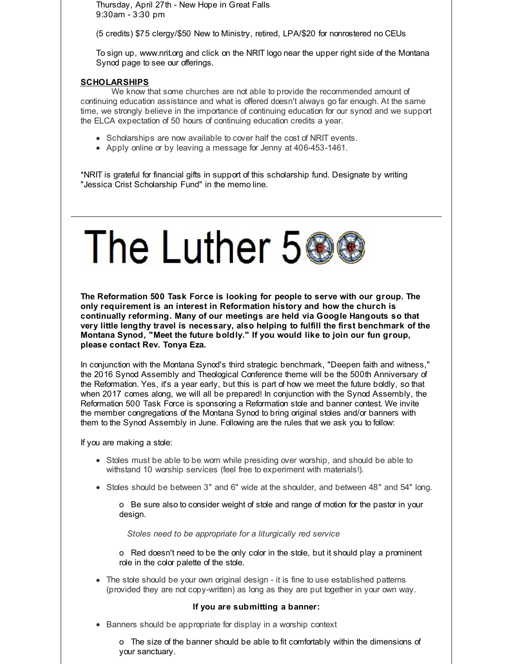Thursday, April 27th - New Hope in Great Falls 9:30am - 3:30 pm

(5 credits) \$75 clergy/\$50 New to Ministry, retired, LPA/\$20 for nonrostered no CEUs

To sign up, www.nrit.org and click on the NRIT logo near the upper right side of the Montana Synod page to see our offerings.

#### **SCHOLARSHIPS**

We know that some churches are not able to provide the recommended amount of continuing education assistance and what is offered doesn't always go far enough. At the same time, we strongly believe in the importance of continuing education for our synod and we support the ELCA expectation of 50 hours of continuing education credits a year.

- Scholarships are now available to cover half the cost of NRIT events.
- Apply online or by leaving a message for Jenny at 406-453-1461.

\*NRIT is grateful for financial gifts in support of this scholarship fund. Designate by writing "Jessica Crist Scholarship Fund" in the memo line.

# The Luther 5

**The Reformation 500 Task Force is looking for people to serve with our group. The only requirement is an interest in Reformation history and how the church is continually reforming. Many of our meetings are held via Google Hangouts so that very little lengthy travel is necessary, also helping to fulfill the first benchmark of the Montana Synod, "Meet the future boldly." If you would like to join our fun group, please contact Rev. Tonya Eza.**

In conjunction with the Montana Synod's third strategic benchmark, "Deepen faith and witness," the 2016 Synod Assembly and Theological Conference theme will be the 500th Anniversary of the Reformation. Yes, it's a year early, but this is part of how we meet the future boldly, so that when 2017 comes along, we will all be prepared! In conjunction with the Synod Assembly, the Reformation 500 Task Force is sponsoring a Reformation stole and banner contest. We invite the member congregations of the Montana Synod to bring original stoles and/or banners with them to the Synod Assembly in June. Following are the rules that we ask you to follow:

If you are making a stole:

- Stoles must be able to be worn while presiding over worship, and should be able to withstand 10 worship services (feel free to experiment with materials!).
- Stoles should be between 3" and 6" wide at the shoulder, and between 48" and 54" long.

o Be sure also to consider weight of stole and range of motion for the pastor in your design.

*Stoles need to be appropriate for a liturgically red service*

o Red doesn't need to be the only color in the stole, but it should play a prominent role in the color palette of the stole.

• The stole should be your own original design - it is fine to use established patterns (provided they are not copy-written) as long as they are put together in your own way.

#### **If you are submitting a banner:**

• Banners should be appropriate for display in a worship context

o The size of the banner should be able to fit comfortably within the dimensions of your sanctuary.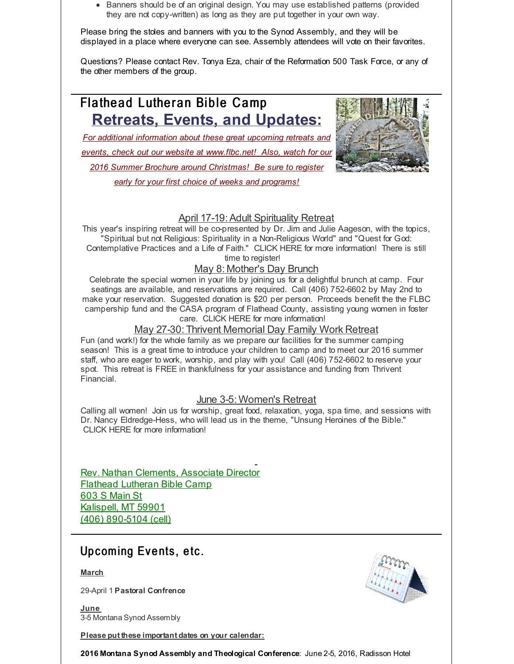• Banners should be of an original design. You may use established patterns (provided they are not copy-written) as long as they are put together in your own way.

Please bring the stoles and banners with you to the Synod Assembly, and they will be displayed in a place where everyone can see. Assembly attendees will vote on their favorites.

Questions? Please contact Rev. Tonya Eza, chair of the Reformation 500 Task Force, or any of the other members of the group.

# Flathead Lutheran Bible Camp **Retreats, Events, and Updates:**

*For additional information about these great upcoming retreats and events, check out our website at [www.flbc.net](http://r20.rs6.net/tn.jsp?f=001QvvrhkTToFAxPA72KFLpBpXS2LszA725eTaoxaPe892BQ6V1TixS-zguZZkQnxKRHspyqMayPDCdGVMKzJ1kElIM6y_5Ign91rfzBSAs8Boyvx3T84MvFLi2Yg00YjGK7eLDWrqfBCIZfYHqO8rsVNS90D8K2PUrV1yriZFCE55ADpeD7xEB8kSXew0tkoxyv7kt2gq8NvvGuGehRMcHiuC3rryhwwvtB-S2uGAE_t8kkD0S4ygY6QtTi_h4b60i&c=&ch=)! Also, watch for our 2016 Summer Brochure around Christmas! Be sure to register early for your first choice of weeks and programs!*



#### April 17-19: Adult Spirituality Retreat

This year's inspiring retreat will be co-presented by Dr. Jim and Julie Aageson, with the topics, "Spiritual but not Religious: Spirituality in a Non-Religious World" and "Quest for God: Contemplative Practices and a Life of Faith." CLICK HERE for more information! There is still time to register!

#### May 8: Mother's Day Brunch

Celebrate the special women in your life by joining us for a delightful brunch at camp. Four seatings are available, and reservations are required. Call (406) 752-6602 by May 2nd to make your reservation. Suggested donation is \$20 per person. Proceeds benefit the the FLBC campership fund and the CASA program of Flathead County, assisting young women in foster care. CLICK HERE for more information!

#### May 27-30: Thrivent Memorial Day Family Work Retreat

Fun (and work!) for the whole family as we prepare our facilities for the summer camping season! This is a great time to introduce your children to camp and to meet our 2016 summer staff, who are eager to work, worship, and play with you! Call (406) 752-6602 to reserve your spot. This retreat is FREE in thankfulness for your assistance and funding from Thrivent Financial.

#### June 3-5: Women's Retreat

Calling all women! Join us for worship, great food, relaxation, yoga, spa time, and sessions with Dr. Nancy Eldredge-Hess, who will lead us in the theme, "Unsung Heroines of the Bible." CLICK HERE for more information!

Rev. Nathan Clements, Associate Director Flathead Lutheran Bible Camp 603 S Main St Kalispell, MT 59901 (406) 890-5104 (cell)

# Up coming Events, etc.

**March**

29-April 1 **Pastoral Confrence**

**June** 3-5 Montana Synod Assembly

**Please put these important dates on your calendar:**



**2016 Montana Synod Assembly and Theological Conference**: June 2-5, 2016, Radisson Hotel